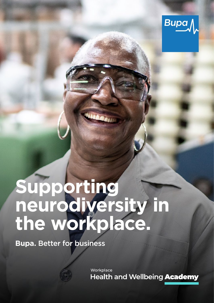

# **Supporting neurodiversity in the workplace.**

**Bupa.** Better for business

Workplace **Health and Wellbeing Academy**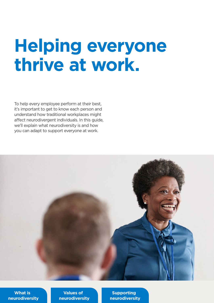## **Helping everyone thrive at work.**

To help every employee perform at their best, it's important to get to know each person and understand how traditional workplaces might afect neurodivergent individuals. In this guide, we'll explain what neurodiversity is and how you can adapt to support everyone at work.



**What is [neurodiversity](#page-2-0)** 

**Values of [neurodiversity](#page-3-0)** 

**Supporting [neurodiversity](#page-4-0)**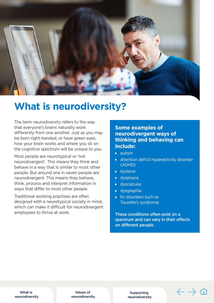<span id="page-2-0"></span>

### **What is neurodiversity?**

The term neurodiversity refers to the way that everyone's brains naturally work diferently from one another. Just as you may be born right-handed, or have green eyes, how your brain works and where you sit on the cognitive spectrum will be unique to you.

Most people are neurotypical or 'not neurodivergent'. This means they think and behave in a way that is similar to most other people. But around one in seven people are neurodivergent. This means they behave, think, process and interpret information in ways that difer to most other people.

Traditional working practises are often designed with a neurotypical society in mind, which can make it difficult for neurodivergent employees to thrive at work.

### **Some examples of neurodivergent ways of thinking and behaving can include:**

- **autism**
- **EXEC** attention deficit hyperactivity disorder (ADHD)
- **dyslexia**
- **dyspraxia**
- **dyscalculia**
- **dysgraphia**
- tic disorders such as Tourette's syndrome

These conditions often exist on a spectrum and can vary in their effects on different people.

What is [neurodiversity](#page-3-0) 

Values of [neurodiversity](#page-3-0) 

Supporting [neurodiversity](#page-4-0)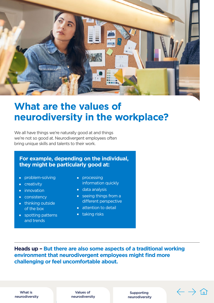<span id="page-3-0"></span>

## **What are the values of neurodiversity in the workplace?**

We all have things we're naturally good at and things we're not so good at. Neurodivergent employees often bring unique skills and talents to their work.

### **For example, depending on the individual, they might be particularly good at:**

- **problem-solving a processing**
- 
- 
- 
- 
- $\Box$  spotting patterns  $\Box$  taking risks and trends
- **Exercise information quickly**
- **a** innovation **data analysis**
- **Example 2** consistency seeing things from a **thinking outside** thinking outside
	- of the box  $\overline{\phantom{a}}$  attention to detail
		-

**Heads up – But there are also some aspects of a traditional working environment that neurodivergent employees might find more challenging or feel uncomfortable about.** 

What is [neurodiversity](#page-2-0) 

Values of [neurodiversity](#page-4-0) 

Supporting [neurodiversity](#page-4-0)   $\sqrt{2}$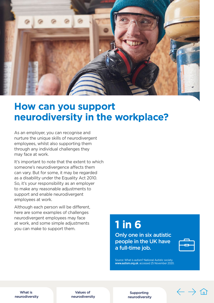<span id="page-4-0"></span>

### **How can you support neurodiversity in the workplace?**

As an employer, you can recognise and nurture the unique skills of neurodivergent employees, whilst also supporting them through any individual challenges they may face at work.

It's important to note that the extent to which someone's neurodivergence affects them can vary. But for some, it may be regarded as a disability under the Equality Act 2010. So, it's your responsibility as an employer to make any reasonable adjustments to support and enable neurodivergent employees at work.

Although each person will be diferent, here are some examples of challenges neurodivergent employees may face at work, and some simple adjustments<br>you can make to support them.

Only one in six autistic people in the UK have a full-time job.



Source: What is autism? National Autistic society. [www.autism.org.uk](http://www.autism.org.uk). accessed 25 November 2020.

What is [neurodiversity](#page-2-0) 

Values of [neurodiversity](#page-3-0) 

Supporting neurodiversity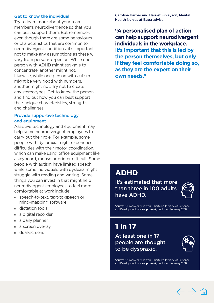### Get to know the individual

Try to learn more about your team member's neurodivergence so that you can best support them. But remember, even though there are some behaviours or characteristics that are common to neurodivergent conditions, it's important not to make any assumptions as these will vary from person-to-person. While one person with ADHD might struggle to concentrate, another might not. Likewise, while one person with autism might be very good with numbers, another might not. Try not to create any stereotypes. Get to know the person and find out how you can best support their unique characteristics, strengths and challenges.

#### Provide supportive technology and equipment

Assistive technology and equipment may help some neurodivergent employees to carry out their role. For example, some people with dyspraxia might experience difficulties with their motor coordination. which can make using office equipment like a keyboard, mouse or printer difficult. Some people with autism have limited speech, while some individuals with dyslexia might struggle with reading and writing. Some things you can invest in that might help neurodivergent employees to feel more comfortable at work include:

- � speech-to-text, text-to-speech or mind-mapping software
- dictation tools
- a digital recorder
- a daily planner
- a screen overlay
- **g** dual-screens

Caroline Harper and Harriet Finlayson, Mental Health Nurses at Bupa advise:

**"A personalised plan of action can help support neurodivergent individuals in the workplace. It's important that this is led by the person themselves, but only if they feel comfortable doing so, as they are the expert on their own needs."** 

### **ADHD**

It's estimated that more than three in 100 adults have ADHD.



Source: Neurodiversity at work. Chartered Institute of Personnel and Development. [www.cipd.co.uk](http://www.cipd.co.uk), published February 2018

**1 in 17** 

At least one in 17 people are thought to be dyspraxic.



Source: Neurodiversity at work. Chartered Institute of Personnel and Development. [www.cipd.co.uk](http://www.cipd.co.uk), published February 2018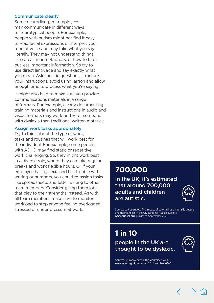#### <span id="page-6-0"></span>Communicate clearly

Some neurodivergent employees may communicate in diferent ways to neurotypical people. For example, people with autism might not find it easy to read facial expressions or interpret your tone of voice and may take what you say literally. They may not understand things like sarcasm or metaphors, or how to filter out less important information. So try to use direct language and say exactly what you mean. Ask specific questions, structure your instructions, avoid using jargon and allow enough time to process what you're saying.

It might also help to make sure you provide communications materials in a range of formats. For example, clearly documenting training materials and instructions in audio and visual formats may work better for someone with dyslexia than traditional written materials.

#### Assign work tasks appropriately

Try to think about the type of work, tasks and routines that will work best for the individual. For example, some people with ADHD may find static or repetitive work challenging. So, they might work best in a diverse role, where they can take regular breaks and work flexible hours. Or if your employee has dyslexia and has trouble with writing or numbers, you could re-assign tasks like spreadsheets and letter writing to other team members. Consider giving them jobs that play to their strengths instead. As with all team members, make sure to monitor workload to stop anyone feeling overloaded, stressed or under pressure at work.

### **700,000**

In the UK, it's estimated that around 700,000 adults and children are autistic.



Source: Left stranded: The impact of coronavirus on autistic people and their families in the UK. National Autistic Society. [www.autism.org](http://www.autism.org), published September 2020

**1 in 10**  people in the UK are thought to be dyslexic.



Source: Neurodiversity in the workplace. ACAS. [www.acas.org.uk](http://www.acas.org.uk), accessed 23 November 2020.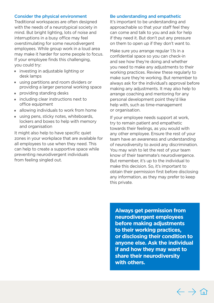### Consider the physical environment

Traditional workspaces are often designed with the needs of a neurotypical society in mind. But bright lighting, lots of noise and interruptions in a busy office may feel overstimulating for some neurodivergent employees. While group work in a loud area may make it harder for some people to focus. If your employee finds this challenging. you could try:

- $\blacksquare$  investing in adjustable lighting or desk lamps
- using partitions and room dividers or providing a larger personal working space
- **providing standing desks**
- **Example including clear instructions next to** office equipment
- **allowing individuals to work from home**
- using pens, sticky notes, whiteboards, lockers and boxes to help with memory and organisation

It might also help to have specific quiet zones in your workplace that are available for all employees to use when they need. This can help to create a supportive space while preventing neurodivergent individuals from feeling singled out.

#### Be understanding and empathetic

It's important to be understanding and approachable so that your staff feel they can come and talk to you and ask for help if they need it. But don't put any pressure on them to open up if they don't want to.

Make sure you arrange regular 1:1s in a confidential space so you can check-in and see how they're doing and whether you need to make any adjustments to their working practices. Review these regularly to make sure they're working. But remember to always ask for the individual's approval before making any adjustments. It may also help to arrange coaching and mentoring for any personal development point they'd like help with, such as time-management or organisation.

If your employee needs support at work, try to remain patient and empathetic towards their feelings, as you would with any other employee. Ensure the rest of your team have an awareness and understanding of neurodiversity to avoid any discrimination. You may wish to let the rest of your team know of their teammate's neurodivergence. But remember, it's up to the individual to make this decision. So, it's important to obtain their permission first before disclosing any information, as they may prefer to keep this private.

**Always get permission from neurodivergent employees before making adjustments to their working practices, or disclosing their condition to anyone else. Ask the individual if and how they may want to share their neurodiversity with others.** 

 $\leftarrow$   $\rightarrow$   $\curvearrowright$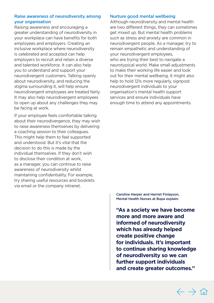### Raise awareness of neurodiversity among your organisation

Raising awareness and encouraging a greater understanding of neurodiversity in your workplace can have benefits for both employees and employers. Creating an inclusive workplace where neurodiversity is celebrated and accepted can help employers to recruit and retain a diverse and talented workforce. It can also help you to understand and support your neurodivergent customers. Talking openly about neurodiversity, and reducing the stigma surrounding it, will help ensure neurodivergent employees are treated fairly. It may also help neurodivergent employees to open up about any challenges they may be facing at work.

If your employee feels comfortable talking about their neurodivergence, they may wish to raise awareness themselves by delivering a coaching session to their colleagues. This might help them to feel supported and understood. But it's vital that the decision to do this is made by the individual themselves. If they don't wish to disclose their condition at work, as a manager, you can continue to raise awareness of neurodiversity whilst maintaining confdentiality. For example, try sharing useful resources and booklets via email or the company intranet.

### Nurture good mental wellbeing

 enough time to attend any appointments. Although neurodiversity and mental health are two diferent things, they can sometimes get mixed up. But mental health problems such as stress and anxiety are common in neurodivergent people. As a manager, try to remain empathetic and understanding of your neurodivergent employees, who are trying their best to navigate a neurotypical world. Make small adjustments to make their working life easier and look out for their mental wellbeing. It might also help to hold 121s more regularly, signpost neurodivergent individuals to your organisation's mental health support services and ensure individuals have

Caroline Harper and Harriet Finlayson, Mental Health Nurses at Bupa explain:

**"As a society we have become more and more aware and informed of neurodiversity which has already helped create positive change for individuals. It's important to continue sharing knowledge of neurodiversity so we can further support individuals and create greater outcomes."** 

 $\leftarrow$   $\rightarrow$   $\curvearrowright$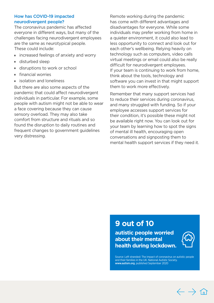### <span id="page-9-0"></span>How has COVID-19 impacted neurodivergent people?

The coronavirus pandemic has affected everyone in diferent ways, but many of the challenges facing neurodivergent employees are the same as neurotypical people. These could include:

- **n** increased feelings of anxiety and worry
- disturbed sleep
- disruptions to work or school
- $\blacksquare$  financial worries
- $\blacksquare$  isolation and loneliness

But there are also some aspects of the pandemic that could afect neurodivergent individuals in particular. For example, some people with autism might not be able to wear a face covering because they can cause sensory overload. They may also take comfort from structure and rituals and so found the disruption to daily routines and frequent changes to government guidelines very distressing.

Remote working during the pandemic has come with diferent advantages and disadvantages for everyone. While some individuals may prefer working from home in a quieter environment, it could also lead to less opportunity to connect and look out for each other's wellbeing. Relying heavily on technology such as computers, video calls virtual meetings or email could also be really difficult for neurodivergent employees. If your team is continuing to work from home, think about the tools, technology and software you can invest in that might support them to work more effectively.

Remember that many support services had to reduce their services during coronavirus, and many struggled with funding. So if your employee accesses support services for their condition, it's possible these might not be available right now. You can look out for your team by learning how to spot the signs of mental ill health, encouraging open conversations and signposting them to mental health support services if they need it.

### **9 out of 10**

**autistic people worried about their mental health during lockdown.** 



Source: Left stranded: The impact of coronavirus on autistic people and their families in the UK. National Autistic Society. [www.autism.org](http://www.autism.org), published September 2020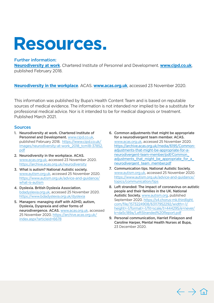## **Resources.**

### Further information:

**[Neurodiversity at work](https://www.cipd.co.uk/Images/neurodiversity-at-work_2018_tcm18-37852.pdf)**. Chartered Institute of Personnel and Development. **[www.cipd.co.uk](http://www.cipd.co.uk)**, published February 2018.

**[Neurodiversity in the workplace](https://archive.acas.org.uk/neurodiversity )**. ACAS. **[www.acas.org.uk](http://www.acas.org.uk)**, accessed 23 November 2020.

This information was published by Bupa's Health Content Team and is based on reputable sources of medical evidence. The information is not intended nor implied to be a substitute for professional medical advice. Nor is it intended to be for medical diagnosis or treatment. Published March 2021.

### Sources

- **Prkplace**. AC<br>Iished by Bunce. The info<br>ice. Nor is it<br>nartered Institut.<br>Nattps://www.cipd.unittps://www.cipd.unittps://www.cipd.unittps://www.cipd.unit<br>splace. ACAS. 1. Neurodiversity at work. Chartered Institute of Personnel and Development. [www.cipd.co.uk](http://www.cipd.co.uk), published February 2018. [https://www.cipd.co.uk/](https://www.cipd.co.uk/Images/neurodiversity-at-work_2018_tcm18-37852.pdf)  [Images/neurodiversity-at-work\\_2018\\_tcm18-37852.](https://www.cipd.co.uk/Images/neurodiversity-at-work_2018_tcm18-37852.pdf) [pdf](https://www.cipd.co.uk/Images/neurodiversity-at-work_2018_tcm18-37852.pdf)
- 2. Neurodiversity in the workplace. ACAS. [www.acas.org.uk,](http://www.acas.org.uk) accessed 23 November 2020. <https://archive.acas.org.uk/neurodiversity>
- 3. What is autism? National Autistic society. [www.autism.org.uk,](http://www.autism.org.uk) accessed 25 November 2020. [https://www.autism.org.uk/advice-and-guidance/](https://www.autism.org.uk/advice-and-guidance/what-is-autism)  [what-is-autism](https://www.autism.org.uk/advice-and-guidance/what-is-autism)
- 4. Dyslexia. British Dyslexia Association. [bdadyslexia.org.uk](http://bdadyslexia.org.uk), accessed 25 November 2020. <https://www.bdadyslexia.org.uk/dyslexia>
- 5. Managers: managing staff with ADHD, autism, Dyslexia, Dyspraxia and other forms of neurodivergence. ACAS. [www.acas.org.uk](http://www.acas.org.uk), accessed 25 November 2020. [https://archive.acas.org.uk/](https://archive.acas.org.uk/index.aspx?articleid=6678)  [index.aspx?articleid=6678](https://archive.acas.org.uk/index.aspx?articleid=6678)
- for a neurodivergent team member. ACAS. 6. Common adjustments that might be appropriate [www.acas.org.uk,](http://www.acas.org.uk) accessed 25 November 2020. [https://archive.acas.org.uk/media/6195/Common](https://archive.acas.org.uk/media/6195/Common-adjustments-that-might-be-appropriate-for-a-neurodivergent-team-member/pdf/Common_adjustments_that_might_be_appropriate_for_a_neurodivergent_team_member.pdf)[adjustments-that-might-be-appropriate-for-a](https://archive.acas.org.uk/media/6195/Common-adjustments-that-might-be-appropriate-for-a-neurodivergent-team-member/pdf/Common_adjustments_that_might_be_appropriate_for_a_neurodivergent_team_member.pdf)[neurodivergent-team-member/pdf/Common\\_](https://archive.acas.org.uk/media/6195/Common-adjustments-that-might-be-appropriate-for-a-neurodivergent-team-member/pdf/Common_adjustments_that_might_be_appropriate_for_a_neurodivergent_team_member.pdf)  adjustments\_that\_might\_be\_appropriate\_for\_a neurodivergent\_team\_member.pdf
- 7. Communication tips. National Autistic Society. [www.autism.org.uk,](http://www.autism.org.uk) accessed 25 November 2020. [https://www.autism.org.uk/advice-and-guidance/](https://www.autism.org.uk/advice-and-guidance/topics/communication/tips)  [topics/communication/tips](https://www.autism.org.uk/advice-and-guidance/topics/communication/tips)
- 8. Left stranded: The impact of coronavirus on autistic people and their families in the UK. National Autistic Society. [www.autism.org](http://www.autism.org), published September 2020. [https://s4.chorus-mk.thirdlight.](https://s4.chorus-mk.thirdlight.com/file/1573224908/63117952292/width=-1/height=-1/format=-1/fit=scale/t=444295/e=never/k=da5c189a/LeftStranded%20Report.pdf)  [com/fle/1573224908/63117952292/width=-1/](https://s4.chorus-mk.thirdlight.com/file/1573224908/63117952292/width=-1/height=-1/format=-1/fit=scale/t=444295/e=never/k=da5c189a/LeftStranded%20Report.pdf) height=-1/format=-1/fit=scale/t=444295/e=never/ [k=da5c189a/LeftStranded%20Report.pdf](https://s4.chorus-mk.thirdlight.com/file/1573224908/63117952292/width=-1/height=-1/format=-1/fit=scale/t=444295/e=never/k=da5c189a/LeftStranded%20Report.pdf)
- Caroline Harper, Mental Health Nurses at Bupa, 9. Personal communication, Harriet Finlayson and 23 December 2020.

 $\leftarrow$   $\rightarrow$   $\hat{a}$